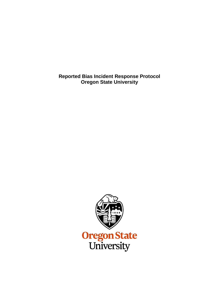**Reported Bias Incident Response Protocol Oregon State University**

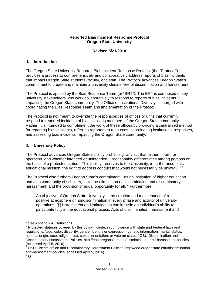#### **Reported Bias Incident Response Protocol Oregon State University**

### **Revised 5/21/2018**

#### **I. Introduction**

The Oregon State University Reported Bias Incident Response Protocol (the "Protocol") provides a process to comprehensively and collaboratively address reports of bias incidents<sup>1</sup> that impact Oregon State students, faculty, and staff. The Protocol advances Oregon State's commitment to create and maintain a university climate free of discrimination and harassment.

The Protocol is applied by the Bias Response Team (or "BRT"). The BRT is composed of key university stakeholders who work collaboratively to respond to reports of bias incidents impacting the Oregon State community. The Office of Institutional Diversity is charged with coordinating the Bias Response Team and implementation of the Protocol.

The Protocol is not meant to override the responsibilities of offices or units that currently respond to reported incidents of bias involving members of the Oregon State community. Rather, it is intended to complement the work of these offices by providing a centralized method for reporting bias incidents, referring reporters to resources, coordinating institutional responses, and assessing bias incidents impacting the Oregon State community.

### **II. University Policy**

The Protocol advances Oregon State's policy prohibiting "any act that, either in form or operation, and whether intended or unintended, unreasonably differentiates among persons on the basis of a protected status.<sup>2</sup> This [policy] reserves to the University, in furtherance of its educational mission, the right to address conduct that would not necessarily be unlawful."<sup>3</sup>

The Protocol also furthers Oregon State's commitment, "as an institution of higher education and as a community of scholars, … to the elimination of discrimination and discriminatory harassment, and the provision of equal opportunity for all."<sup>4</sup> Furthermore:

An objective of Oregon State University is the creation and maintenance of a positive atmosphere of nondiscrimination in every phase and activity of university operations. [¶] Harassment and intimidation can impede an individual's ability to participate fully in the educational process. Acts of discrimination, harassment and

 $\overline{\phantom{a}}$ 

<sup>&</sup>lt;sup>1</sup> See Appendix A, Definitions.

 $2$  Protected statuses covered by this policy include, in compliance with state and Federal laws and regulations, "age, color, disability, gender identity or expression, genetic information, marital status, national origin, race, religion, sex, sexual orientation, or veteran status." OSU Discrimination and Discriminatory Harassment Policies, http://eoa.oregonstate.edu/discrimination-and-harassment-policies (accessed April 5, 2016).

 $3$  OSU Discrimination and Discriminatory Harassment Policies, http://eoa.oregonstate.edu/discriminationand-harassment-policies (accessed April 5, 2016).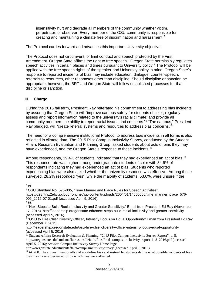insensitivity hurt and degrade all members of the community whether victim, perpetrator, or observer. Every member of the OSU community is responsible for creating and maintaining a climate free of discrimination and harassment. 5

The Protocol carries forward and advances this important University objective.

The Protocol does not circumvent, or limit conduct and speech protected by the First Amendment. Oregon State affirms the right to free speech.<sup>6</sup> Oregon State permissibly regulates speech activities in certain places and times pursuant to University policy.<sup>7</sup> The Protocol will be applied with the free speech rights of the speaker and University policy in mind. Oregon State's response to reported incidents of bias may include education, dialogue, counter-speech, referrals to resources, other responses other than discipline. Should discipline or sanction be appropriate, however, the BRT and Oregon State will follow established processes for that discipline or sanction.

# **III. Charge**

During the 2015 fall term, President Ray reiterated his commitment to addressing bias incidents by assuring that Oregon State will "improve campus safety for students of color; regularly assess and report information related to the university's racial climate; and provide all community members the ability to report racial issues and concerns."<sup>8</sup> "The campus," President Ray pledged, will "create referral systems and resources to address bias concerns."<sup>9</sup>

The need for a comprehensive institutional Protocol to address bias incidents in all forms is also reflected in climate data. The 2015 Pilot Campus Inclusivity Survey, conducted by the Student Affairs Research Evaluation and Planning Group, asked students about acts of bias they may have experienced, and the Oregon State's response to these incidents.<sup>10</sup>

Among respondents, 29.4% of students indicated that they had experienced an act of bias.<sup>11</sup> This response rate was higher among undergraduate students of color with 34.6% of respondents indicating they had experienced an act of bias. Students who reported experiencing bias were also asked whether the university response was effective. Among those surveyed, 28.2% responded "yes", while the majority of students, 53.6%, were unsure if the

#### 5 *Id.*

 $\overline{\phantom{a}}$ 

<sup>6</sup> OSU Standard No. 576-005, "Time Manner and Place Rules for Speech Activities",

https://d28htnjz2elwuj.cloudfront.net/wp-content/uploads/2004/01/14000000/time\_manner\_place\_576- 005\_2015-07-01.pdf (accessed April 5, 2016).

<sup>7</sup> *Id.*

<sup>&</sup>lt;sup>8</sup> "Next Steps to Build Racial Inclusivity and Greater Sensitivity." Email from President Ed Ray (November 17, 2015), http://leadership.oregonstate.edu/next-steps-build-racial-inclusivity-and-greater-sensitivity (accessed April 5, 2016).

<sup>&</sup>lt;sup>9</sup> "OSU to Hire Chief Diversity Officer, Intensify Focus on Equal Opportunity" Email from President Ed Ray (December 7, 2015),

http://leadership.oregonstate.edu/osu-hire-chief-diversity-officer-intensify-focus-equal-opportunity (accessed April 5, 2016

<sup>&</sup>lt;sup>10</sup> Student Affairs Research Evaluation & Planning, "2015 Pilot Campus Inclusivity Survey Report", p. 8, http://oregonstate.edu/studentaffairs/sites/default/files/final\_campus\_inclusivity\_report\_1\_8\_2016.pdf (accessed April 5, 2016); *see also* Campus Inclusivity Survey Home Page,

http://oregonstate.edu/studentaffairs/campusinclusivitysurvey (accessed April 5, 2016)

<sup>&</sup>lt;sup>11</sup> *Id.* at 8. The survey intentionally did not define bias and instead let students define what possible incidents of bias they may have experienced or by which they were affected.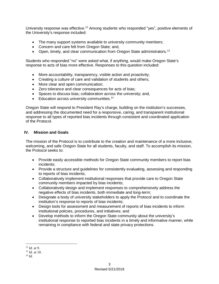University response was effective.<sup>12</sup> Among students who responded "yes", positive elements of the University's response included:

- The many support systems available to university community members;
- Concern and care felt from Oregon State; and,
- Open, timely, and clear communication from Oregon State administrators.<sup>13</sup>

Students who responded "no" were asked what, if anything, would make Oregon State's response to acts of bias more effective. Responses to this question included:

- More accountability, transparency, visible action and proactivity;
- Creating a culture of care and validation of students and others:
- More clear and open communication:
- Zero tolerance and clear consequences for acts of bias;
- Spaces to discuss bias; collaboration across the university; and,
- Education across university communities.<sup>14</sup>

Oregon State will respond to President Ray's charge, building on the institution's successes, and addressing the documented need for a responsive, caring, and transparent institutional response to all types of reported bias incidents through consistent and coordinated application of the Protocol.

### **IV. Mission and Goals**

The mission of the Protocol is to contribute to the creation and maintenance of a more inclusive, welcoming, and safe Oregon State for all students, faculty, and staff. To accomplish its mission, the Protocol seeks to:

- Provide easily accessible methods for Oregon State community members to report bias incidents;
- Provide a structure and quidelines for consistently evaluating, assessing and responding to reports of bias incidents;
- Collaboratively implement institutional responses that provide care to Oregon State community members impacted by bias incidents;
- Collaboratively design and implement responses to comprehensively address the negative effects of bias incidents, both immediate and long-term;
- Designate a body of university stakeholders to apply the Protocol and to coordinate the institution's response to reports of bias incidents;
- Design tools for assessment and measurement of reports of bias incidents to inform institutional policies, procedures, and initiatives; and
- Develop methods to inform the Oregon State community about the university's institutional response to reported bias incidents in a timely and informative manner, while remaining in compliance with federal and state privacy protections.

 $\overline{\phantom{a}}$ 

<sup>12</sup> *Id.* at 9.

<sup>13</sup> *Id.* at 10.

<sup>14</sup> *Id.*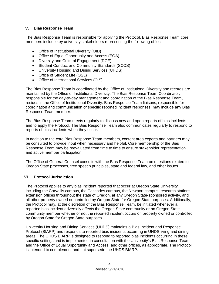# **V. Bias Response Team**

The Bias Response Team is responsible for applying the Protocol. Bias Response Team core members include key university stakeholders representing the following offices:

- Office of Institutional Diversity (OID)
- Office of Equal Opportunity and Access (EOA)
- Diversity and Cultural Engagement (DCE)
- Student Conduct and Community Standards (SCCS)
- University Housing and Dining Services (UHDS)
- Office of Student Life (OSL)
- Office of International Services (OIS)

The Bias Response Team is coordinated by the Office of Institutional Diversity and records are maintained by the Office of Institutional Diversity. The Bias Response Team Coordinator, responsible for the day-to-day management and coordination of the Bias Response Team, resides in the Office of Institutional Diversity. Bias Response Team liaisons, responsible for coordination and communication of specific reported incident responses, may include any Bias Response Team member.

The Bias Response Team meets regularly to discuss new and open reports of bias incidents and to apply the Protocol. The Bias Response Team also communicates regularly to respond to reports of bias incidents when they occur.

In addition to the core Bias Response Team members, content area experts and partners may be consulted to provide input when necessary and helpful. Core membership of the Bias Response Team may be reevaluated from time to time to ensure stakeholder representation and active member participation.

The Office of General Counsel consults with the Bias Response Team on questions related to Oregon State processes, free speech principles, state and federal law, and other issues.

### **VI. Protocol Jurisdiction**

The Protocol applies to any bias incident reported that occur at Oregon State University, including the Corvallis campus, the Cascades campus, the Newport campus, research stations, extension offices throughout the state of Oregon, at any Oregon State-sponsored activity, and all other property owned or controlled by Oregon State for Oregon State purposes. Additionally, the Protocol may, at the discretion of the Bias Response Team, be initiated whenever a reported bias incident adversely affects the Oregon State community or an Oregon State community member whether or not the reported incident occurs on property owned or controlled by Oregon State for Oregon State purposes.

University Housing and Dining Services (UHDS) maintains a Bias Incident and Response Protocol (BIARP) and responds to reported bias incidents occurring in UHDS living and dining areas. The UHDS BIARP is designed to respond to reported bias incidents occurring in these specific settings and is implemented in consultation with the University's Bias Response Team and the Office of Equal Opportunity and Access, and other offices, as appropriate. The Protocol is intended to complement and not supersede the UHDS BIARP.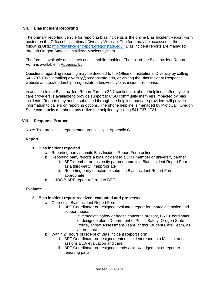# **VII. Bias Incident Reporting**

The primary reporting vehicle for reporting bias incidents is the online Bias Incident Report Form hosted on the Office of Institutional Diversity Website. The form may be accessed at the following URL: [http://biasincidentreport.oregonstate.edu/.](http://biasincidentreport.oregonstate.edu/) Bias incident reports are managed through Oregon State's centralized Maxient system.

The form is available at all times and is mobile-enabled. The text of the Bias Incident Report Form is available in Appendix B.

Questions regarding reporting may be directed to the Office of Institutional Diversity by calling 541-737-1063, emailing diversity@oregonstate.edu, or visiting the Bias Incident Response website at http://leadership.oregonstate.edu/diversity/bias-incident-response.

In addition to the Bias Incident Report Form, a 24/7 confidential phone helpline staffed by skilled care providers is available to provide support to OSU community members impacted by bias incidents. Reports may not be submitted through the helpline, but care providers will provide information to callers on reporting options. The phone helpline is managed by ProtoCall. Oregon State community members may utilize the helpline by calling 541-737-1731.

### **VIII. Response Protocol**

Note: This process is represented graphically in Appendix C.

# **Report**

### **1. Bias incident reported**

- a. Reporting party submits Bias Incident Report Form online
- b. Reporting party reports a bias incident to a BRT member or university partner
	- i. BRT member or university partner submits a Bias Incident Report Form as a third-party, if appropriate
	- ii. Reporting party directed to submit a Bias Incident Report Form, if appropriate
- c. UHDS BIARP report referred to BRT

# **Evaluate**

### **2. Bias incident report received, evaluated and processed**

- a. On receipt Bias Incident Report Form
	- i. BRT Coordinator or designee evaluates report for immediate action and support needs
		- 1. If immediate safety or health concerns present, BRT Coordinator or designee alerts Department of Public Safety, Oregon State Police, Threat Assessment Team, and/or Student Care Team, as appropriate
- b. Within 24 hours of receipt of Bias Incident Report Form
	- i. BRT Coordinator or designee enters incident report into Maxient and assigns EOA evaluation and care
	- ii. BRT Coordinator or designee sends acknowledgement of report to reporting party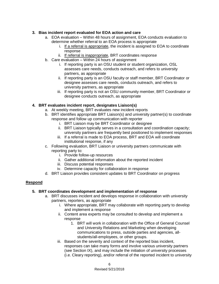# **3. Bias incident report evaluated for EOA action and care**

- a. EOA evaluation Within 48 hours of assignment, EOA conducts evaluation to determine whether referral to an EOA process is appropriate
	- i. If a referral is appropriate, the incident is assigned to EOA to coordinate response
	- ii. If referral is inappropriate, BRT coordinates response
- b. Care evaluation Within 24 hours of assignment
	- i. If reporting party is an OSU student or student organization, OSL assesses care needs, conducts outreach, and refers to university partners, as appropriate
	- ii. If reporting party is an OSU faculty or staff member, BRT Coordinator or designee assesses care needs, conducts outreach, and refers to university partners, as appropriate
	- iii. If reporting party is not an OSU community member, BRT Coordinator or designee conducts outreach, as appropriate

# **4. BRT evaluates incident report, designates Liaison(s)**

- a. At weekly meeting, BRT evaluates new incident reports
	- b. BRT identifies appropriate BRT Liaison(s) and university partner(s) to coordinate response and follow up communication with reporter
		- i. BRT Liaison may be BRT Coordinator or designee
		- ii. BRT Liaison typically serves in a consultation and coordination capacity; university partners are frequently best positioned to implement responses
		- iii. If a referral is made to EOA process, BRT and EOA will coordinate institutional response, if any
	- c. Following evaluation, BRT Liaison or university partners communicate with reporting party to:
		- i. Provide follow-up resources
		- ii. Gather additional information about the reported incident
		- iii. Discuss potential responses
		- iv. Determine capacity for collaboration in response
	- d. BRT Liaison provides consistent updates to BRT Coordinator on progress

# **Respond**

# **5. BRT coordinates development and implementation of response**

- a. BRT discusses incident and develops response in collaboration with university partners, reporters, as appropriate
	- i. Where appropriate, BRT may collaborate with reporting party to develop and implement a response
	- ii. Content area experts may be consulted to develop and implement a response
		- 1. BRT will work in collaboration with the Office of General Counsel and University Relations and Marketing when developing communications to press, outside parties and agencies, allstudents/all-employees, or other groups.
	- iii. Based on the severity and context of the reported bias incident, responses can take many forms and involve various university partners (see Section IX), and may include the initiation of university processes (i.e. Cleary reporting), and/or referral of the reported incident to university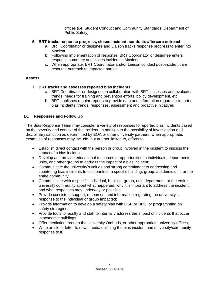offices (i.e. Student Conduct and Community Standards, Department of Public Safety)

# **6. BRT tracks response progress, closes incident, conducts aftercare outreach**

- a. BRT Coordinator or designee and Liaison tracks response progress to enter into **Maxient**
- b. Following implementation of response, BRT Coordinator or designee enters response summary and closes incident in Maxient
- c. When appropriate, BRT Coordinator and/or Liaison conduct post-incident care resource outreach to impacted parties

# **Assess**

# **7. BRT tracks and assesses reported bias incidents**

- a. BRT Coordinator or designee, in collaboration with BRT, assesses and evaluates trends, needs for training and prevention efforts, policy development, etc.
- b. BRT publishes regular reports to provide data and information regarding reported bias incidents, trends, responses, assessment and proactive initiatives

# **IX. Responses and Follow Up**

The Bias Response Team may consider a variety of responses to reported bias incidents based on the severity and context of the incident. In addition to the possibility of investigation and disciplinary sanction as determined by EOA or other university partners, when appropriate, examples of responses may include, but are not limited to, efforts to:

- Establish direct contact with the person or group involved in the incident to discuss the impact of a bias incident;
- Develop and provide educational resources or opportunities to individuals, departments, units, and other groups to address the impact of a bias incident;
- Communicate the university's values and strong commitment to addressing and countering bias incidents to occupants of a specific building, group, academic unit, or the entire community;
- Communicate with a specific individual, building, group, unit, department, or the entire university community about what happened, why it is important to address the incident, and what responses may underway or possible;
- Provide consistent support, resources, and information regarding the university's response to the individual or group impacted;
- Provide information to develop a safety plan with OSP or DPS, or programming on safety strategies;
- Provide tools to faculty and staff to internally address the impact of incidents that occur in academic buildings;
- Offer mediation through the University Ombuds, or other appropriate university offices;
- Write article or letter to news media outlining the bias incident and university/community response to it.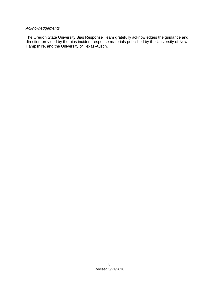# *Acknowledgements*

The Oregon State University Bias Response Team gratefully acknowledges the guidance and direction provided by the bias incident response materials published by the University of New Hampshire, and the University of Texas-Austin.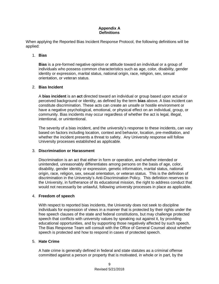### **Appendix A Definitions**

When applying the Reported Bias Incident Response Protocol, the following definitions will be applied:

### 1. **Bias**

**Bias** is a pre-formed negative opinion or attitude toward an individual or a group of individuals who possess common characteristics such as age, color, disability, gender identity or expression, marital status, national origin, race, religion, sex, sexual orientation, or veteran status.

# 2. **Bias Incident**

A **bias incident** is an **act** directed toward an individual or group based upon actual or perceived background or identity, as defined by the term **bias** above. A bias incident can constitute discrimination. These acts can create an unsafe or hostile environment or have a negative psychological, emotional, or physical effect on an individual, group, or community. Bias incidents may occur regardless of whether the act is legal, illegal, intentional, or unintentional.

The severity of a bias incident, and the university's response to these incidents, can vary based on factors including location, context and behavior, location, pre-meditation, and whether the incident presents a threat to safety. Any University response will follow University processes established as applicable.

# 3. **Discrimination or Harassment**

Discrimination is an act that either in form or operation, and whether intended or unintended, unreasonably differentiates among persons on the basis of age, color, disability, gender identity or expression, genetic information, marital status, national origin, race, religion, sex, sexual orientation, or veteran status. This is the definition of discrimination in the University's Anti-Discrimination Policy. This definition reserves to the University, in furtherance of its educational mission, the right to address conduct that would not necessarily be unlawful, following university processes in place as applicable.

### 4. **Freedom of speech**

With respect to reported bias incidents, the University does not seek to discipline individuals for expression of views in a manner that is protected by their rights under the free speech clauses of the state and federal constitutions, but may challenge protected speech that conflicts with university values by speaking out against it, by providing educational opportunities, and by supporting those negatively affected by such speech. The Bias Response Team will consult with the Office of General Counsel about whether speech is protected and how to respond in cases of protected speech.

### 5. **Hate Crime**

A hate crime is generally defined in federal and state statutes as a criminal offense committed against a person or property that is motivated, in whole or in part, by the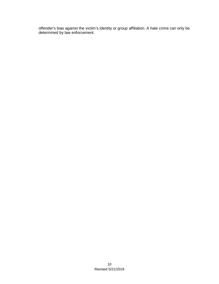offender's bias against the victim's identity or group affiliation. A hate crime can only be determined by law enforcement.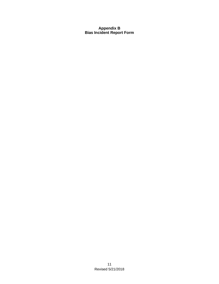# **Appendix B Bias Incident Report Form**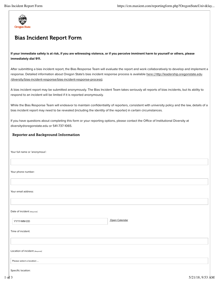

# Bias Incident Report Form

#### **If your immediate safety is at risk, if you are witnessing violence, or if you perceive imminent harm to yourself or others, please immediately dial 911.**

After submitting a bias incident report, the Bias Response Team will evaluate the report and work collaboratively to develop and implement a response. Detailed information about Oregon State's bias incident response process is available here (http://leadership.oregonstate.edu /diversity/bias-incident-response/bias-incident-response-process).

A bias incident report may be submitted anonymously. The Bias Incident Team takes seriously all reports of bias incidents, but its ability to respond to an incident will be limited if it is reported anonymously.

While the Bias Response Team will endeavor to maintain confidentiality of reporters, consistent with university policy and the law, details of a bias incident report may need to be revealed (including the identity of the reporter) in certain circumstances.

If you have questions about completing this form or your reporting options, please contact the Office of Institutional Diversity at diversity@oregonstate.edu or 541-737-1065.

#### Reporter and Background Information

Your full name or 'anonymous':

Your phone number:

Your email address:

Date of incident (Required):

YYYY-MM-DD Open Calendar

Time of incident:

Location of incident (Required):

Please select a location ...

Specific location: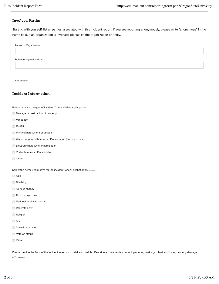#### Involved Parties

Starting with yourself, list all parties associated with this incident report. If you are reporting anonymously, please write "anonymous" in the name field. If an organization is involved, please list the organization or entity.

Name or Organization

Relationship to Incident

Add another

#### Incident Information

Please indicate the type of incident. Check all that apply. (Required)

- Damage or destruction of property
- **Vandalism**
- $\Box$  Graffiti
- **Physical harassment or assault**
- **Written or printed harassment/intimidation (non-electronic)**
- Electronic harassment/intimidation
- Verbal harassment/intimidation
- Other

Select the perceived motive for the incident. Check all that apply. (Required)

- Age
- **Disability**
- Gender Identity
- Gender expression
- National origin/citizenship
- Race/ethnicity
- Religion
- **Sex**
- Sexual orientation
- **Veteran status**
- Other

Please provide the facts of the incident in as much detail as possible. (Describe all comments, conduct, gestures, markings, physical injuries, property damage,

etc.) (Required)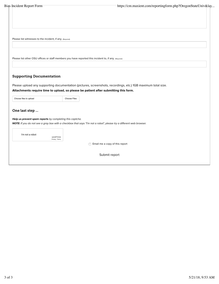Please list witnesses to the incident, if any. (Required)

Please list other OSU offices or staff members you have reported this incident to, if any. (Required)

### Supporting Documentation

Please upload any supporting documentation (pictures, screenshots, recordings, etc.) 1GB maximum total size.

**Attachments require time to upload, so please be patient after submitting this form.**

| Choose files to upload | Choose Files |
|------------------------|--------------|
|------------------------|--------------|

#### One last step ...

#### *Help us prevent spam reports by completing this captcha.*

*NOTE: If you do not see a gray box with a checkbox that says "I'm not a robot", please try a di*f*erent web browser.*

| I'm not a robot |                  |
|-----------------|------------------|
|                 | <b>reCAPTCHA</b> |
|                 | Privacy - Terms  |

Email me a copy of this report

Submit report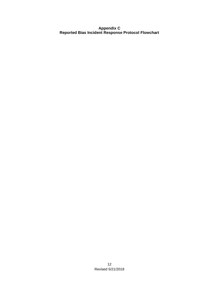**Appendix C Reported Bias Incident Response Protocol Flowchart**